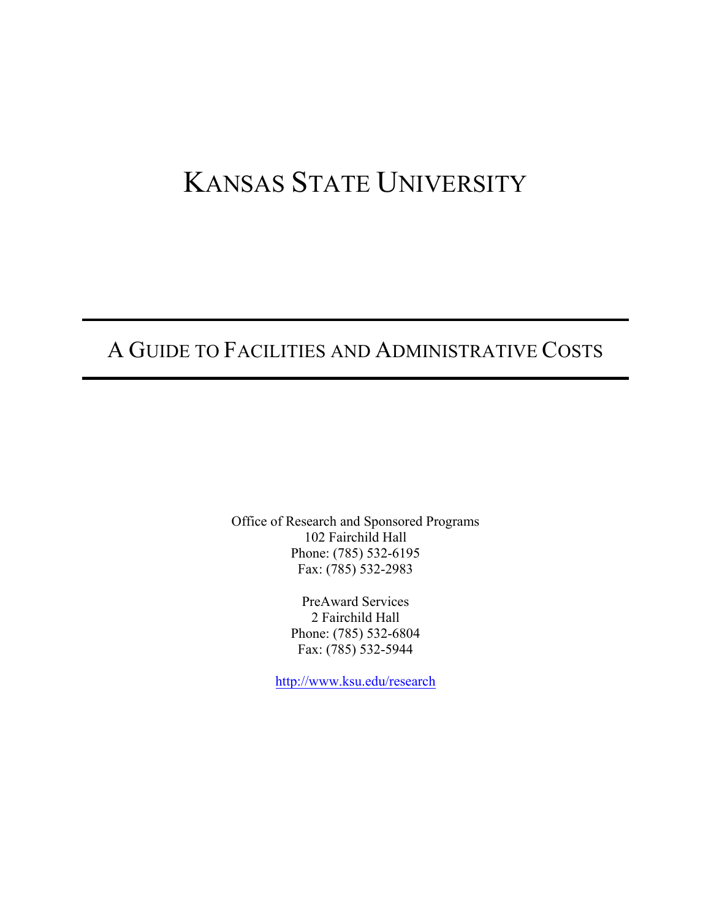# KANSAS STATE UNIVERSITY

# A GUIDE TO FACILITIES AND ADMINISTRATIVE COSTS

Office of Research and Sponsored Programs 102 Fairchild Hall Phone: (785) 532-6195 Fax: (785) 532-2983

> PreAward Services 2 Fairchild Hall Phone: (785) 532-6804 Fax: (785) 532-5944

<http://www.ksu.edu/research>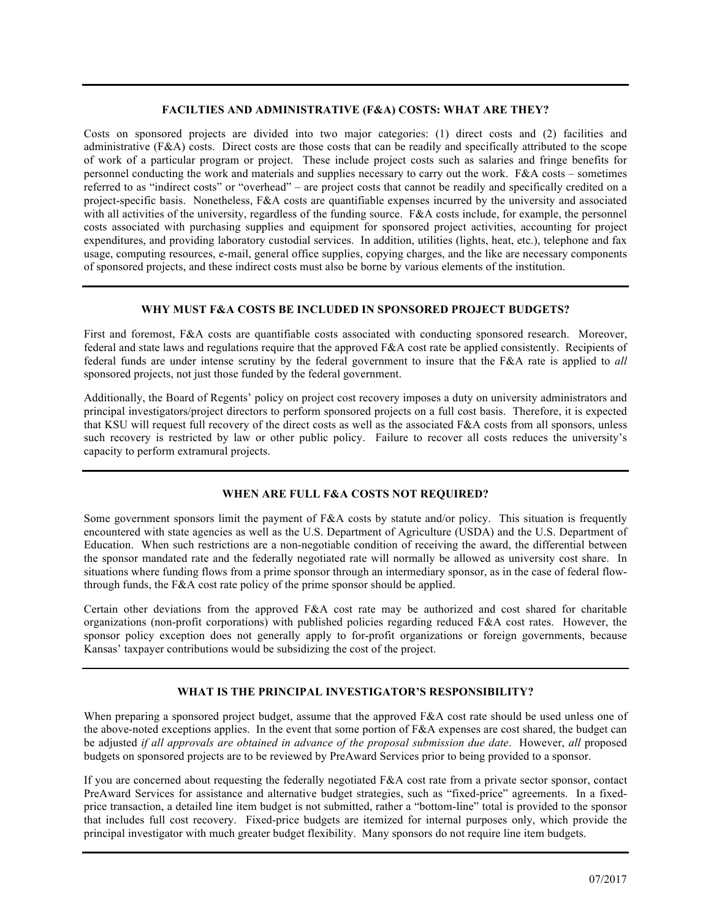#### **FACILTIES AND ADMINISTRATIVE (F&A) COSTS: WHAT ARE THEY?**

Costs on sponsored projects are divided into two major categories: (1) direct costs and (2) facilities and administrative (F&A) costs. Direct costs are those costs that can be readily and specifically attributed to the scope of work of a particular program or project. These include project costs such as salaries and fringe benefits for personnel conducting the work and materials and supplies necessary to carry out the work. F&A costs – sometimes referred to as "indirect costs" or "overhead" – are project costs that cannot be readily and specifically credited on a project-specific basis. Nonetheless, F&A costs are quantifiable expenses incurred by the university and associated with all activities of the university, regardless of the funding source. F&A costs include, for example, the personnel costs associated with purchasing supplies and equipment for sponsored project activities, accounting for project expenditures, and providing laboratory custodial services. In addition, utilities (lights, heat, etc.), telephone and fax usage, computing resources, e-mail, general office supplies, copying charges, and the like are necessary components of sponsored projects, and these indirect costs must also be borne by various elements of the institution.

#### **WHY MUST F&A COSTS BE INCLUDED IN SPONSORED PROJECT BUDGETS?**

First and foremost, F&A costs are quantifiable costs associated with conducting sponsored research. Moreover, federal and state laws and regulations require that the approved F&A cost rate be applied consistently. Recipients of federal funds are under intense scrutiny by the federal government to insure that the F&A rate is applied to *all*  sponsored projects, not just those funded by the federal government.

Additionally, the Board of Regents' policy on project cost recovery imposes a duty on university administrators and principal investigators/project directors to perform sponsored projects on a full cost basis. Therefore, it is expected that KSU will request full recovery of the direct costs as well as the associated F&A costs from all sponsors, unless such recovery is restricted by law or other public policy. Failure to recover all costs reduces the university's capacity to perform extramural projects.

#### **WHEN ARE FULL F&A COSTS NOT REQUIRED?**

Some government sponsors limit the payment of F&A costs by statute and/or policy. This situation is frequently encountered with state agencies as well as the U.S. Department of Agriculture (USDA) and the U.S. Department of Education. When such restrictions are a non-negotiable condition of receiving the award, the differential between the sponsor mandated rate and the federally negotiated rate will normally be allowed as university cost share. In situations where funding flows from a prime sponsor through an intermediary sponsor, as in the case of federal flowthrough funds, the F&A cost rate policy of the prime sponsor should be applied.

Certain other deviations from the approved F&A cost rate may be authorized and cost shared for charitable organizations (non-profit corporations) with published policies regarding reduced F&A cost rates. However, the sponsor policy exception does not generally apply to for-profit organizations or foreign governments, because Kansas' taxpayer contributions would be subsidizing the cost of the project.

#### **WHAT IS THE PRINCIPAL INVESTIGATOR'S RESPONSIBILITY?**

When preparing a sponsored project budget, assume that the approved F&A cost rate should be used unless one of the above-noted exceptions applies. In the event that some portion of F&A expenses are cost shared, the budget can be adjusted *if all approvals are obtained in advance of the proposal submission due date*. However, *all* proposed budgets on sponsored projects are to be reviewed by PreAward Services prior to being provided to a sponsor.

If you are concerned about requesting the federally negotiated F&A cost rate from a private sector sponsor, contact PreAward Services for assistance and alternative budget strategies, such as "fixed-price" agreements. In a fixedprice transaction, a detailed line item budget is not submitted, rather a "bottom-line" total is provided to the sponsor that includes full cost recovery. Fixed-price budgets are itemized for internal purposes only, which provide the principal investigator with much greater budget flexibility. Many sponsors do not require line item budgets.